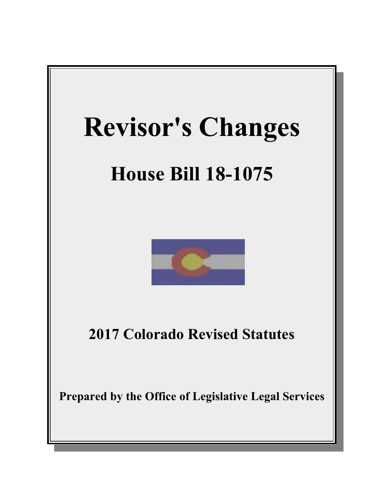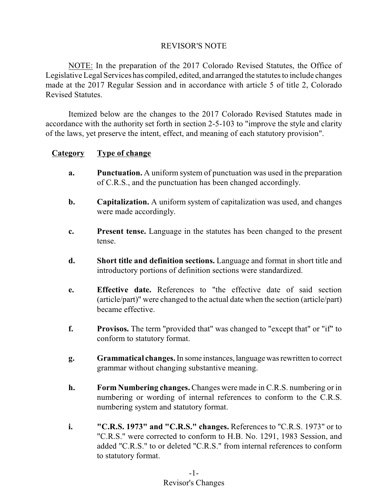# REVISOR'S NOTE

NOTE: In the preparation of the 2017 Colorado Revised Statutes, the Office of Legislative Legal Services has compiled, edited, and arranged the statutes to include changes made at the 2017 Regular Session and in accordance with article 5 of title 2, Colorado Revised Statutes.

Itemized below are the changes to the 2017 Colorado Revised Statutes made in accordance with the authority set forth in section 2-5-103 to "improve the style and clarity of the laws, yet preserve the intent, effect, and meaning of each statutory provision".

# **Category Type of change**

- **a. Punctuation.** A uniform system of punctuation was used in the preparation of C.R.S., and the punctuation has been changed accordingly.
- **b. Capitalization.** A uniform system of capitalization was used, and changes were made accordingly.
- **c. Present tense.** Language in the statutes has been changed to the present tense.
- **d. Short title and definition sections.** Language and format in short title and introductory portions of definition sections were standardized.
- **e. Effective date.** References to "the effective date of said section (article/part)" were changed to the actual date when the section (article/part) became effective.
- **f. Provisos.** The term "provided that" was changed to "except that" or "if" to conform to statutory format.
- **g. Grammatical changes.**In some instances,languagewas rewritten to correct grammar without changing substantive meaning.
- **h. Form Numbering changes.** Changes were made in C.R.S. numbering or in numbering or wording of internal references to conform to the C.R.S. numbering system and statutory format.
- **i. "C.R.S. 1973" and "C.R.S." changes.** References to "C.R.S. 1973" or to "C.R.S." were corrected to conform to H.B. No. 1291, 1983 Session, and added "C.R.S." to or deleted "C.R.S." from internal references to conform to statutory format.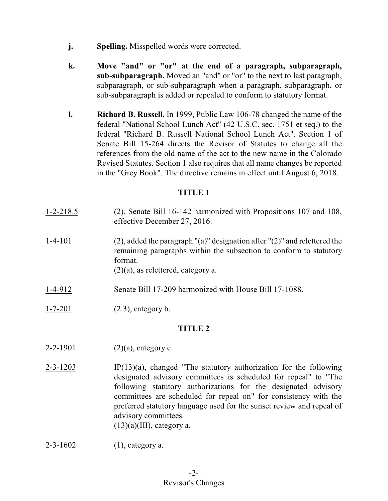- **j. Spelling.** Misspelled words were corrected.
- **k. Move "and" or "or" at the end of a paragraph, subparagraph, sub-subparagraph.** Moved an "and" or "or" to the next to last paragraph, subparagraph, or sub-subparagraph when a paragraph, subparagraph, or sub-subparagraph is added or repealed to conform to statutory format.
- **l. Richard B. Russell.** In 1999, Public Law 106-78 changed the name of the federal "National School Lunch Act" (42 U.S.C. sec. 1751 et seq.) to the federal "Richard B. Russell National School Lunch Act". Section 1 of Senate Bill 15-264 directs the Revisor of Statutes to change all the references from the old name of the act to the new name in the Colorado Revised Statutes. Section 1 also requires that all name changes be reported in the "Grey Book". The directive remains in effect until August 6, 2018.

| $1 - 2 - 218.5$ | (2), Senate Bill 16-142 harmonized with Propositions 107 and 108,<br>effective December 27, 2016.                                                                                                              |  |
|-----------------|----------------------------------------------------------------------------------------------------------------------------------------------------------------------------------------------------------------|--|
| $1 - 4 - 101$   | $(2)$ , added the paragraph " $(a)$ " designation after " $(2)$ " and relettered the<br>remaining paragraphs within the subsection to conform to statutory<br>format.<br>$(2)(a)$ , as relettered, category a. |  |
| $1 - 4 - 912$   | Senate Bill 17-209 harmonized with House Bill 17-1088.                                                                                                                                                         |  |
| $1 - 7 - 201$   | $(2.3)$ , category b.                                                                                                                                                                                          |  |
| <b>TITLE 2</b>  |                                                                                                                                                                                                                |  |
|                 |                                                                                                                                                                                                                |  |

- 2-2-1901 (2)(a), category e.
- $2-3-1203$  IP(13)(a), changed "The statutory authorization for the following designated advisory committees is scheduled for repeal" to "The following statutory authorizations for the designated advisory committees are scheduled for repeal on" for consistency with the preferred statutory language used for the sunset review and repeal of advisory committees.  $(13)(a)(III)$ , category a.
- 2-3-1602 (1), category a.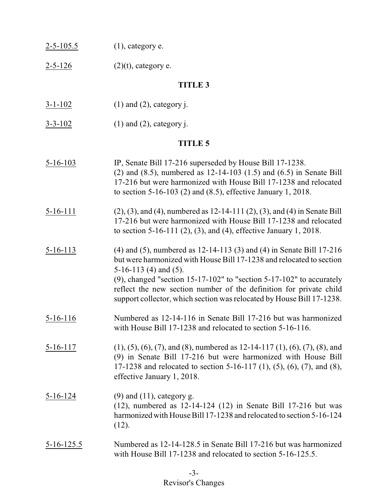$2-5-126$  (2)(t), category e.

# **TITLE 3**

- $3-1-102$  (1) and (2), category j.
- $3-3-102$  (1) and (2), category j.

| $5 - 16 - 103$ | IP, Senate Bill 17-216 superseded by House Bill 17-1238.<br>(2) and $(8.5)$ , numbered as 12-14-103 $(1.5)$ and $(6.5)$ in Senate Bill<br>17-216 but were harmonized with House Bill 17-1238 and relocated<br>to section 5-16-103 (2) and $(8.5)$ , effective January 1, 2018.                                                                                                                              |
|----------------|-------------------------------------------------------------------------------------------------------------------------------------------------------------------------------------------------------------------------------------------------------------------------------------------------------------------------------------------------------------------------------------------------------------|
| $5-16-111$     | $(2)$ , $(3)$ , and $(4)$ , numbered as 12-14-111 $(2)$ , $(3)$ , and $(4)$ in Senate Bill<br>17-216 but were harmonized with House Bill 17-1238 and relocated<br>to section 5-16-111 $(2)$ , $(3)$ , and $(4)$ , effective January 1, 2018.                                                                                                                                                                |
| $5 - 16 - 113$ | $(4)$ and $(5)$ , numbered as 12-14-113 $(3)$ and $(4)$ in Senate Bill 17-216<br>but were harmonized with House Bill 17-1238 and relocated to section<br>5-16-113 (4) and $(5)$ .<br>$(9)$ , changed "section 15-17-102" to "section 5-17-102" to accurately<br>reflect the new section number of the definition for private child<br>support collector, which section was relocated by House Bill 17-1238. |
| $5 - 16 - 116$ | Numbered as 12-14-116 in Senate Bill 17-216 but was harmonized<br>with House Bill 17-1238 and relocated to section 5-16-116.                                                                                                                                                                                                                                                                                |
| $5 - 16 - 117$ | $(1), (5), (6), (7),$ and $(8),$ numbered as 12-14-117 $(1), (6), (7), (8),$ and<br>(9) in Senate Bill 17-216 but were harmonized with House Bill<br>17-1238 and relocated to section 5-16-117 (1), (5), (6), (7), and (8),<br>effective January 1, 2018.                                                                                                                                                   |
| $5 - 16 - 124$ | $(9)$ and $(11)$ , category g.<br>$(12)$ , numbered as $12-14-124$ $(12)$ in Senate Bill 17-216 but was<br>harmonized with House Bill 17-1238 and relocated to section 5-16-124<br>(12).                                                                                                                                                                                                                    |
| 5-16-125.5     | Numbered as 12-14-128.5 in Senate Bill 17-216 but was harmonized<br>with House Bill 17-1238 and relocated to section 5-16-125.5.                                                                                                                                                                                                                                                                            |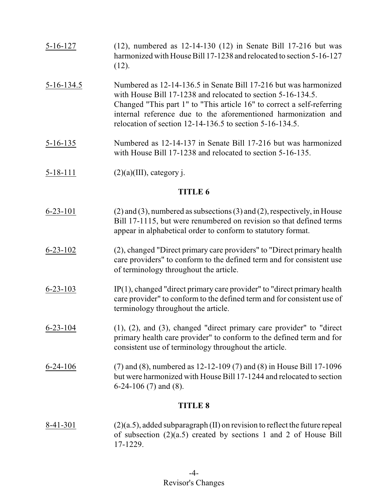| $5 - 16 - 127$ | $(12)$ , numbered as $12-14-130$ $(12)$ in Senate Bill 17-216 but was<br>harmonized with House Bill 17-1238 and relocated to section 5-16-127<br>(12).                                                                                                                                                                                   |
|----------------|------------------------------------------------------------------------------------------------------------------------------------------------------------------------------------------------------------------------------------------------------------------------------------------------------------------------------------------|
| $5-16-134.5$   | Numbered as 12-14-136.5 in Senate Bill 17-216 but was harmonized<br>with House Bill 17-1238 and relocated to section 5-16-134.5.<br>Changed "This part 1" to "This article 16" to correct a self-referring<br>internal reference due to the aforementioned harmonization and<br>relocation of section 12-14-136.5 to section 5-16-134.5. |
| $5 - 16 - 135$ | Numbered as 12-14-137 in Senate Bill 17-216 but was harmonized<br>with House Bill 17-1238 and relocated to section 5-16-135.                                                                                                                                                                                                             |
| $5 - 18 - 111$ | $(2)(a)(III)$ , category j.                                                                                                                                                                                                                                                                                                              |
|                | <b>TITLE 6</b>                                                                                                                                                                                                                                                                                                                           |
| $6 - 23 - 101$ | $(2)$ and $(3)$ , numbered as subsections $(3)$ and $(2)$ , respectively, in House<br>Bill 17-1115, but were renumbered on revision so that defined terms<br>appear in alphabetical order to conform to statutory format.                                                                                                                |
| $6 - 23 - 102$ | (2), changed "Direct primary care providers" to "Direct primary health<br>care providers" to conform to the defined term and for consistent use<br>of terminology throughout the article.                                                                                                                                                |
| $6 - 23 - 103$ | $IP(1)$ , changed "direct primary care provider" to "direct primary health<br>care provider" to conform to the defined term and for consistent use of<br>terminology throughout the article.                                                                                                                                             |
| $6 - 23 - 104$ | $(1)$ , $(2)$ , and $(3)$ , changed "direct primary care provider" to "direct<br>primary health care provider" to conform to the defined term and for<br>consistent use of terminology throughout the article.                                                                                                                           |
| $6-24-106$     | $(7)$ and $(8)$ , numbered as 12-12-109 $(7)$ and $(8)$ in House Bill 17-1096<br>but were harmonized with House Bill 17-1244 and relocated to section<br>$6-24-106$ (7) and (8).                                                                                                                                                         |
| <b>TITLE 8</b> |                                                                                                                                                                                                                                                                                                                                          |
| 8-41-301       | $(2)(a.5)$ , added subparagraph (II) on revision to reflect the future repeal<br>of subsection $(2)(a.5)$ created by sections 1 and 2 of House Bill<br>17-1229.                                                                                                                                                                          |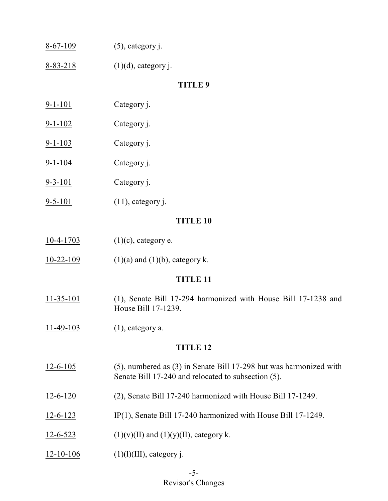| $8-67-109$ | $(5)$ , category j. |
|------------|---------------------|
|------------|---------------------|

8-83-218 (1)(d), category j.

### **TITLE 9**

- 9-1-101 Category j.
- 9-1-102 Category j.
- 9-1-103 Category j.
- 9-1-104 Category j.
- 9-3-101 Category j.
- 9-5-101 (11), category j.

### **TITLE 10**

- 10-4-1703 (1)(c), category e.
- 10-22-109 (1)(a) and (1)(b), category k.

### **TITLE 11**

- 11-35-101 (1), Senate Bill 17-294 harmonized with House Bill 17-1238 and House Bill 17-1239.
- $11-49-103$  (1), category a.

- 12-6-105 (5), numbered as (3) in Senate Bill 17-298 but was harmonized with Senate Bill 17-240 and relocated to subsection (5).
- 12-6-120 (2), Senate Bill 17-240 harmonized with House Bill 17-1249.
- 12-6-123 IP(1), Senate Bill 17-240 harmonized with House Bill 17-1249.
- 12-6-523 (1)(v)(II) and (1)(y)(II), category k.
- $12-10-106$  (1)(l)(III), category j.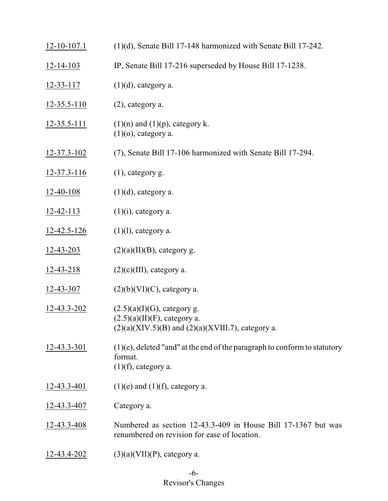| $12 - 10 - 107.1$  | $(1)(d)$ , Senate Bill 17-148 harmonized with Senate Bill 17-242.                                                           |
|--------------------|-----------------------------------------------------------------------------------------------------------------------------|
| $12 - 14 - 103$    | IP, Senate Bill 17-216 superseded by House Bill 17-1238.                                                                    |
| $12 - 33 - 117$    | $(1)(d)$ , category a.                                                                                                      |
| $12 - 35.5 - 110$  | $(2)$ , category a.                                                                                                         |
| $12 - 35.5 - 111$  | $(1)(n)$ and $(1)(p)$ , category k.<br>$(1)(o)$ , category a.                                                               |
| $12 - 37.3 - 102$  | (7), Senate Bill 17-106 harmonized with Senate Bill 17-294.                                                                 |
| $12 - 37.3 - 116$  | $(1)$ , category g.                                                                                                         |
| 12-40-108          | $(1)(d)$ , category a.                                                                                                      |
| $12 - 42 - 113$    | $(1)(i)$ , category a.                                                                                                      |
| $12 - 42.5 - 126$  | $(1)(l)$ , category a.                                                                                                      |
| $12 - 43 - 203$    | $(2)(a)(II)(B)$ , category g.                                                                                               |
| $12 - 43 - 218$    | $(2)(c)(III)$ , category a.                                                                                                 |
| 12-43-307          | $(2)(b)(VI)(C)$ , category a.                                                                                               |
| 12-43.3-202        | $(2.5)(a)(I)(G)$ , category g.<br>$(2.5)(a)(II)(F)$ , category a.<br>$(2)(a)(XIV.5)(B)$ and $(2)(a)(XVIII.7)$ , category a. |
| 12-43.3-301        | $(1)(e)$ , deleted "and" at the end of the paragraph to conform to statutory<br>format.<br>$(1)(f)$ , category a.           |
| $12 - 43.3 - 401$  | $(1)(e)$ and $(1)(f)$ , category a.                                                                                         |
| <u>12-43.3-407</u> | Category a.                                                                                                                 |
| $12 - 43.3 - 408$  | Numbered as section 12-43.3-409 in House Bill 17-1367 but was<br>renumbered on revision for ease of location.               |
| 12-43.4-202        | $(3)(a)(VII)(P)$ , category a.                                                                                              |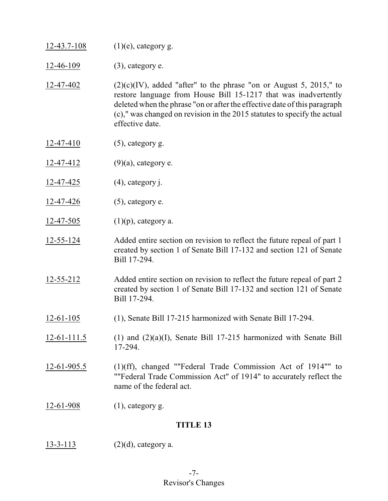$12-43.7-108$  (1)(e), category g.

12-46-109 (3), category e.

- 12-47-402 (2)(c)(IV), added "after" to the phrase "on or August 5, 2015," to restore language from House Bill 15-1217 that was inadvertently deleted when the phrase "on or after the effective date of this paragraph (c)," was changed on revision in the 2015 statutes to specify the actual effective date.
- 12-47-410 (5), category g.
- 12-47-412  $(9)(a)$ , category e.
- 12-47-425 (4), category j.
- 12-47-426 (5), category e.
- 12-47-505 (1)(p), category a.
- 12-55-124 Added entire section on revision to reflect the future repeal of part 1 created by section 1 of Senate Bill 17-132 and section 121 of Senate Bill 17-294.
- 12-55-212 Added entire section on revision to reflect the future repeal of part 2 created by section 1 of Senate Bill 17-132 and section 121 of Senate Bill 17-294.
- 12-61-105 (1), Senate Bill 17-215 harmonized with Senate Bill 17-294.
- 12-61-111.5 (1) and (2)(a)(I), Senate Bill 17-215 harmonized with Senate Bill 17-294.
- 12-61-905.5 (1)(ff), changed ""Federal Trade Commission Act of 1914"" to ""Federal Trade Commission Act" of 1914" to accurately reflect the name of the federal act.
- 12-61-908 (1), category g.

### **TITLE 13**

 $13-3-113$  (2)(d), category a.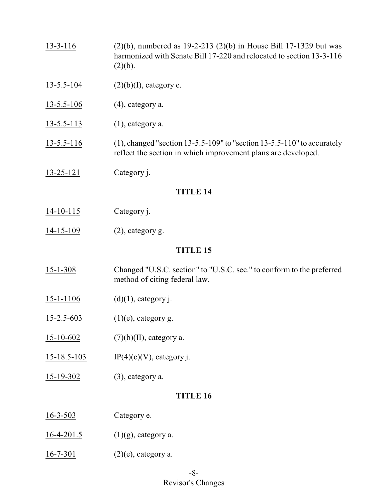- 13-3-116 (2)(b), numbered as 19-2-213 (2)(b) in House Bill 17-1329 but was harmonized with Senate Bill 17-220 and relocated to section 13-3-116  $(2)(b).$
- $13-5.5-104$  (2)(b)(I), category e.
- 13-5.5-106 (4), category a.
- $13-5.5-113$  (1), category a.
- 13-5.5-116 (1), changed "section 13-5.5-109" to "section 13-5.5-110" to accurately reflect the section in which improvement plans are developed.
- 13-25-121 Category j.

- 14-10-115 Category j.
- $14-15-109$  (2), category g.

### **TITLE 15**

- 15-1-308 Changed "U.S.C. section" to "U.S.C. sec." to conform to the preferred method of citing federal law.
- $15-1-1106$  (d)(1), category j.
- $15-2.5-603$  (1)(e), category g.
- 15-10-602  $(7)(b)(II)$ , category a.
- 15-18.5-103 IP(4)(c)(V), category j.
- 15-19-302 (3), category a.

- 16-3-503 Category e.
- 16-4-201.5 (1)(g), category a.
- $16-7-301$  (2)(e), category a.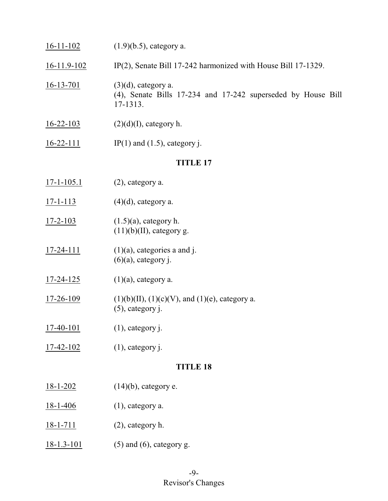| $16-11-102$      | $(1.9)(b.5)$ , category a.                                                                         |  |
|------------------|----------------------------------------------------------------------------------------------------|--|
| $16-11.9-102$    | IP(2), Senate Bill 17-242 harmonized with House Bill 17-1329.                                      |  |
| $16 - 13 - 701$  | $(3)(d)$ , category a.<br>(4), Senate Bills 17-234 and 17-242 superseded by House Bill<br>17-1313. |  |
| $16 - 22 - 103$  | $(2)(d)(I)$ , category h.                                                                          |  |
| $16 - 22 - 111$  | IP(1) and $(1.5)$ , category j.                                                                    |  |
|                  | <b>TITLE 17</b>                                                                                    |  |
| $17 - 1 - 105.1$ | (2), category a.                                                                                   |  |
| $17 - 1 - 113$   | $(4)(d)$ , category a.                                                                             |  |
| $17 - 2 - 103$   | $(1.5)(a)$ , category h.<br>$(11)(b)(II)$ , category g.                                            |  |
| $17 - 24 - 111$  | $(1)(a)$ , categories a and j.<br>$(6)(a)$ , category j.                                           |  |
| 17-24-125        | $(1)(a)$ , category a.                                                                             |  |
| 17-26-109        | $(1)(b)(II), (1)(c)(V),$ and $(1)(e)$ , category a.<br>$(5)$ , category j.                         |  |
| $17-40-101$      | $(1)$ , category j.                                                                                |  |
| $17 - 42 - 102$  | $(1)$ , category j.                                                                                |  |
| <b>TITLE 18</b>  |                                                                                                    |  |
| $18 - 1 - 202$   | $(14)(b)$ , category e.                                                                            |  |
| $18 - 1 - 406$   | $(1)$ , category a.                                                                                |  |
| $18 - 1 - 711$   | (2), category h.                                                                                   |  |
| $18 - 1.3 - 101$ | $(5)$ and $(6)$ , category g.                                                                      |  |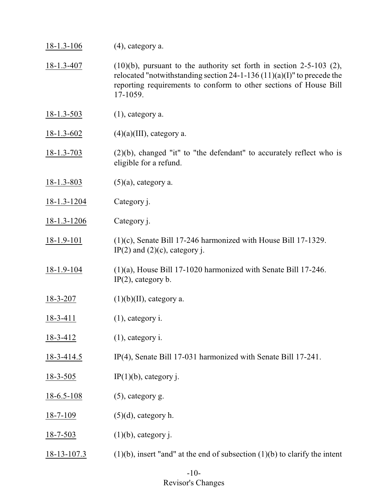| $18 - 1.3 - 106$  | $(4)$ , category a.                                                                                                                                                                                                                   |
|-------------------|---------------------------------------------------------------------------------------------------------------------------------------------------------------------------------------------------------------------------------------|
| 18-1.3-407        | $(10)(b)$ , pursuant to the authority set forth in section 2-5-103 (2),<br>relocated "notwithstanding section 24-1-136 $(11)(a)(I)$ " to precede the<br>reporting requirements to conform to other sections of House Bill<br>17-1059. |
| $18 - 1.3 - 503$  | $(1)$ , category a.                                                                                                                                                                                                                   |
| $18 - 1.3 - 602$  | $(4)(a)(III)$ , category a.                                                                                                                                                                                                           |
| $18 - 1.3 - 703$  | $(2)(b)$ , changed "it" to "the defendant" to accurately reflect who is<br>eligible for a refund.                                                                                                                                     |
| $18 - 1.3 - 803$  | $(5)(a)$ , category a.                                                                                                                                                                                                                |
| $18 - 1.3 - 1204$ | Category j.                                                                                                                                                                                                                           |
| $18 - 1.3 - 1206$ | Category j.                                                                                                                                                                                                                           |
| $18-1.9-101$      | $(1)(c)$ , Senate Bill 17-246 harmonized with House Bill 17-1329.<br>IP(2) and $(2)(c)$ , category j.                                                                                                                                 |
| $18 - 1.9 - 104$  | $(1)(a)$ , House Bill 17-1020 harmonized with Senate Bill 17-246.<br>$IP(2)$ , category b.                                                                                                                                            |
| $18 - 3 - 207$    | $(1)(b)(II)$ , category a.                                                                                                                                                                                                            |
| $18 - 3 - 411$    | $(1)$ , category i.                                                                                                                                                                                                                   |
| 18-3-412          | $(1)$ , category i.                                                                                                                                                                                                                   |
| $18-3-414.5$      | IP(4), Senate Bill 17-031 harmonized with Senate Bill 17-241.                                                                                                                                                                         |
| $18 - 3 - 505$    | $IP(1)(b)$ , category j.                                                                                                                                                                                                              |
| $18 - 6.5 - 108$  | $(5)$ , category g.                                                                                                                                                                                                                   |
| $18 - 7 - 109$    | $(5)(d)$ , category h.                                                                                                                                                                                                                |
| $18 - 7 - 503$    | $(1)(b)$ , category j.                                                                                                                                                                                                                |
| $18 - 13 - 107.3$ | $(1)(b)$ , insert "and" at the end of subsection $(1)(b)$ to clarify the intent                                                                                                                                                       |

### -10- Revisor's Changes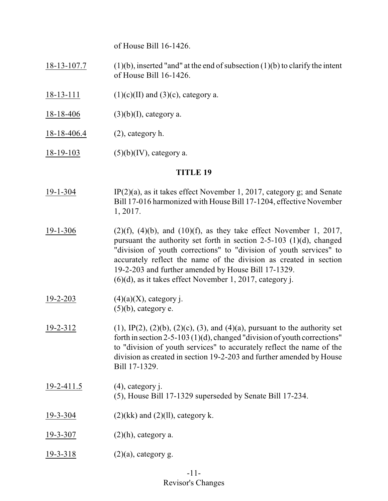of House Bill 16-1426.

18-13-107.7 (1)(b), inserted "and" at the end of subsection  $(1)(b)$  to clarify the intent of House Bill 16-1426.

- 18-13-111 (1)(c)(II) and (3)(c), category a.
- $18-18-406$  (3)(b)(I), category a.
- 18-18-406.4 (2), category h.
- 18-19-103 (5)(b)(IV), category a.

- 19-1-304 IP(2)(a), as it takes effect November 1, 2017, category g; and Senate Bill 17-016 harmonized with House Bill 17-1204, effective November 1, 2017.
- 19-1-306 (2)(f), (4)(b), and (10)(f), as they take effect November 1, 2017, pursuant the authority set forth in section 2-5-103 (1)(d), changed "division of youth corrections" to "division of youth services" to accurately reflect the name of the division as created in section 19-2-203 and further amended by House Bill 17-1329. (6)(d), as it takes effect November 1, 2017, category j.
- $19-2-203$  (4)(a)(X), category j.  $(5)(b)$ , category e.
- 19-2-312 (1), IP(2), (2)(b), (2)(c), (3), and (4)(a), pursuant to the authority set forth in section 2-5-103 (1)(d), changed "division of youth corrections" to "division of youth services" to accurately reflect the name of the division as created in section 19-2-203 and further amended by House Bill 17-1329.
- 19-2-411.5 (4), category j. (5), House Bill 17-1329 superseded by Senate Bill 17-234.
- 19-3-304 (2)(kk) and (2)(ll), category k.
- 19-3-307 (2)(h), category a.
- $19-3-318$  (2)(a), category g.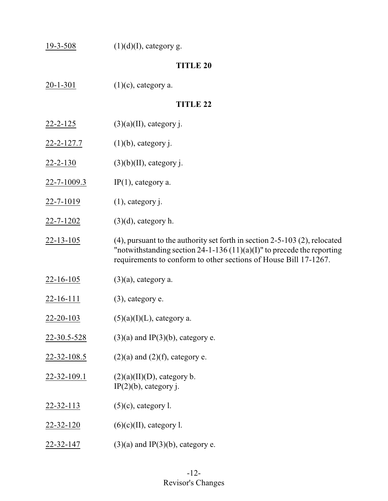| $19 - 3 - 508$   | $(1)(d)(I)$ , category g.                                                                                                                                                                                                         |  |
|------------------|-----------------------------------------------------------------------------------------------------------------------------------------------------------------------------------------------------------------------------------|--|
| <b>TITLE 20</b>  |                                                                                                                                                                                                                                   |  |
| $20 - 1 - 301$   | $(1)(c)$ , category a.                                                                                                                                                                                                            |  |
|                  | <b>TITLE 22</b>                                                                                                                                                                                                                   |  |
| <u>22-2-125</u>  | $(3)(a)(II)$ , category j.                                                                                                                                                                                                        |  |
| 22-2-127.7       | $(1)(b)$ , category j.                                                                                                                                                                                                            |  |
| $22 - 2 - 130$   | $(3)(b)(II)$ , category j.                                                                                                                                                                                                        |  |
| 22-7-1009.3      | $IP(1)$ , category a.                                                                                                                                                                                                             |  |
| 22-7-1019        | $(1)$ , category j.                                                                                                                                                                                                               |  |
| 22-7-1202        | $(3)(d)$ , category h.                                                                                                                                                                                                            |  |
| $22 - 13 - 105$  | $(4)$ , pursuant to the authority set forth in section 2-5-103 $(2)$ , relocated<br>"notwithstanding section 24-1-136 $(11)(a)(I)$ " to precede the reporting<br>requirements to conform to other sections of House Bill 17-1267. |  |
| $22 - 16 - 105$  | $(3)(a)$ , category a.                                                                                                                                                                                                            |  |
| $22 - 16 - 111$  | $(3)$ , category e.                                                                                                                                                                                                               |  |
| $22 - 20 - 103$  | $(5)(a)(I)(L)$ , category a.                                                                                                                                                                                                      |  |
| 22-30.5-528      | $(3)(a)$ and IP(3)(b), category e.                                                                                                                                                                                                |  |
| 22-32-108.5      | $(2)(a)$ and $(2)(f)$ , category e.                                                                                                                                                                                               |  |
| 22-32-109.1      | $(2)(a)(II)(D)$ , category b.<br>$IP(2)(b)$ , category j.                                                                                                                                                                         |  |
| 22-32-113        | $(5)(c)$ , category l.                                                                                                                                                                                                            |  |
| $22 - 32 - 120$  | $(6)(c)(II)$ , category l.                                                                                                                                                                                                        |  |
| <u>22-32-147</u> | $(3)(a)$ and IP $(3)(b)$ , category e.                                                                                                                                                                                            |  |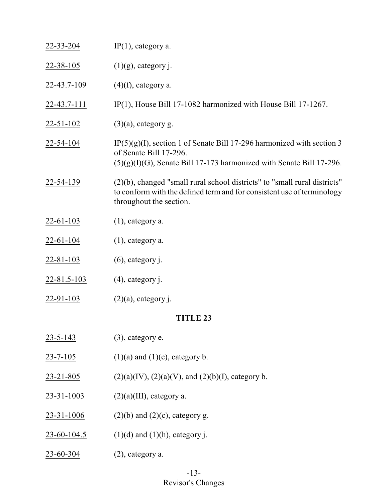| 22-33-204          | $IP(1)$ , category a.                                                                                                                                                          |
|--------------------|--------------------------------------------------------------------------------------------------------------------------------------------------------------------------------|
| $22 - 38 - 105$    | $(1)(g)$ , category j.                                                                                                                                                         |
| <u>22-43.7-109</u> | $(4)$ (f), category a.                                                                                                                                                         |
| <u>22-43.7-111</u> | IP(1), House Bill 17-1082 harmonized with House Bill 17-1267.                                                                                                                  |
| $22 - 51 - 102$    | $(3)(a)$ , category g.                                                                                                                                                         |
| 22-54-104          | $IP(5)(g)(I)$ , section 1 of Senate Bill 17-296 harmonized with section 3<br>of Senate Bill 17-296.<br>$(5)(g)(I)(G)$ , Senate Bill 17-173 harmonized with Senate Bill 17-296. |
| 22-54-139          | (2)(b), changed "small rural school districts" to "small rural districts"<br>to conform with the defined term and for consistent use of terminology<br>throughout the section. |
| $22 - 61 - 103$    | $(1)$ , category a.                                                                                                                                                            |
| <u>22-61-104</u>   | $(1)$ , category a.                                                                                                                                                            |
| $22 - 81 - 103$    | $(6)$ , category j.                                                                                                                                                            |
| $22 - 81.5 - 103$  | $(4)$ , category j.                                                                                                                                                            |
| $22 - 91 - 103$    | $(2)(a)$ , category j.                                                                                                                                                         |
|                    | <b>TITLE 23</b>                                                                                                                                                                |
| $23 - 5 - 143$     | $(3)$ , category e.                                                                                                                                                            |
| $23 - 7 - 105$     | $(1)(a)$ and $(1)(c)$ , category b.                                                                                                                                            |
| $23 - 21 - 805$    | $(2)(a)(IV), (2)(a)(V),$ and $(2)(b)(I)$ , category b.                                                                                                                         |
| $23 - 31 - 1003$   | $(2)(a)(III)$ , category a.                                                                                                                                                    |
| $23 - 31 - 1006$   | $(2)(b)$ and $(2)(c)$ , category g.                                                                                                                                            |
| $23 - 60 - 104.5$  | $(1)(d)$ and $(1)(h)$ , category j.                                                                                                                                            |
| $23 - 60 - 304$    | $(2)$ , category a.                                                                                                                                                            |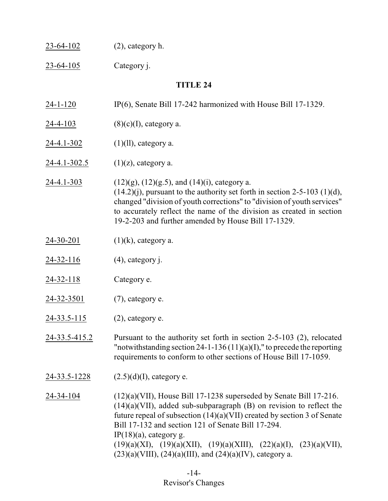| 23-64-102        | $(2)$ , category h.                                                                                                                                                                                                                                                                                                                                                                                                                                               |  |
|------------------|-------------------------------------------------------------------------------------------------------------------------------------------------------------------------------------------------------------------------------------------------------------------------------------------------------------------------------------------------------------------------------------------------------------------------------------------------------------------|--|
| 23-64-105        | Category j.                                                                                                                                                                                                                                                                                                                                                                                                                                                       |  |
| <b>TITLE 24</b>  |                                                                                                                                                                                                                                                                                                                                                                                                                                                                   |  |
| $24 - 1 - 120$   | $IP(6)$ , Senate Bill 17-242 harmonized with House Bill 17-1329.                                                                                                                                                                                                                                                                                                                                                                                                  |  |
| $24 - 4 - 103$   | $(8)(c)(I)$ , category a.                                                                                                                                                                                                                                                                                                                                                                                                                                         |  |
| 24-4.1-302       | $(1)(ll)$ , category a.                                                                                                                                                                                                                                                                                                                                                                                                                                           |  |
| 24-4.1-302.5     | $(1)(z)$ , category a.                                                                                                                                                                                                                                                                                                                                                                                                                                            |  |
| $24 - 4.1 - 303$ | $(12)(g)$ , $(12)(g.5)$ , and $(14)(i)$ , category a.<br>$(14.2)(j)$ , pursuant to the authority set forth in section 2-5-103 (1)(d),<br>changed "division of youth corrections" to "division of youth services"<br>to accurately reflect the name of the division as created in section<br>19-2-203 and further amended by House Bill 17-1329.                                                                                                                   |  |
| $24 - 30 - 201$  | $(1)(k)$ , category a.                                                                                                                                                                                                                                                                                                                                                                                                                                            |  |
| <u>24-32-116</u> | $(4)$ , category j.                                                                                                                                                                                                                                                                                                                                                                                                                                               |  |
| $24 - 32 - 118$  | Category e.                                                                                                                                                                                                                                                                                                                                                                                                                                                       |  |
| 24-32-3501       | $(7)$ , category e.                                                                                                                                                                                                                                                                                                                                                                                                                                               |  |
| 24-33.5-115      | $(2)$ , category e.                                                                                                                                                                                                                                                                                                                                                                                                                                               |  |
| 24-33.5-415.2    | Pursuant to the authority set forth in section $2-5-103$ (2), relocated<br>"notwithstanding section 24-1-136 $(11)(a)(I)$ ," to precede the reporting<br>requirements to conform to other sections of House Bill 17-1059.                                                                                                                                                                                                                                         |  |
| 24-33.5-1228     | $(2.5)(d)(I)$ , category e.                                                                                                                                                                                                                                                                                                                                                                                                                                       |  |
| 24-34-104        | $(12)(a)(VII)$ , House Bill 17-1238 superseded by Senate Bill 17-216.<br>$(14)(a)(VII)$ , added sub-subparagraph $(B)$ on revision to reflect the<br>future repeal of subsection $(14)(a)(VII)$ created by section 3 of Senate<br>Bill 17-132 and section 121 of Senate Bill 17-294.<br>IP $(18)(a)$ , category g.<br>$(19)(a)(XI), (19)(a)(XII), (19)(a)(XIII), (22)(a)(I), (23)(a)(VII),$<br>$(23)(a)(VIII)$ , $(24)(a)(III)$ , and $(24)(a)(IV)$ , category a. |  |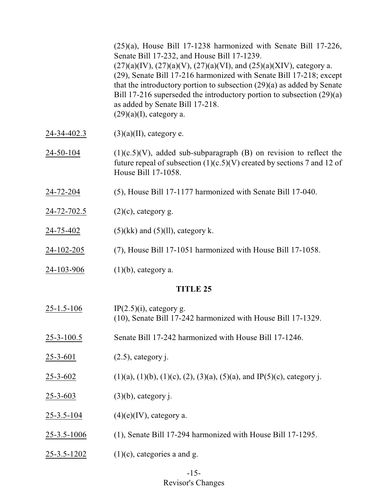(25)(a), House Bill 17-1238 harmonized with Senate Bill 17-226, Senate Bill 17-232, and House Bill 17-1239.  $(27)(a)(IV)$ ,  $(27)(a)(V)$ ,  $(27)(a)(VI)$ , and  $(25)(a)(XIV)$ , category a. (29), Senate Bill 17-216 harmonized with Senate Bill 17-218; except that the introductory portion to subsection (29)(a) as added by Senate Bill 17-216 superseded the introductory portion to subsection (29)(a) as added by Senate Bill 17-218.  $(29)(a)(I)$ , category a.

- 24-34-402.3 (3)(a)(II), category e.
- $24-50-104$  (1)(c.5)(V), added sub-subparagraph (B) on revision to reflect the future repeal of subsection  $(1)(c.5)(V)$  created by sections 7 and 12 of House Bill 17-1058.
- 24-72-204 (5), House Bill 17-1177 harmonized with Senate Bill 17-040.
- 24-72-702.5 (2)(c), category g.
- 24-75-402 (5)(kk) and (5)(ll), category k.
- 24-102-205 (7), House Bill 17-1051 harmonized with House Bill 17-1058.
- 24-103-906 (1)(b), category a.

### **TITLE 25**

 $25-1.5-106$  IP(2.5)(i), category g. (10), Senate Bill 17-242 harmonized with House Bill 17-1329. 25-3-100.5 Senate Bill 17-242 harmonized with House Bill 17-1246. 25-3-601 (2.5), category j.  $\overline{25-3-602}$  (1)(a), (1)(b), (1)(c), (2), (3)(a), (5)(a), and IP(5)(c), category j. 25-3-603 (3)(b), category j. 25-3.5-104  $(4)(e)(IV)$ , category a. 25-3.5-1006 (1), Senate Bill 17-294 harmonized with House Bill 17-1295. 25-3.5-1202 (1)(c), categories a and g.

# -15- Revisor's Changes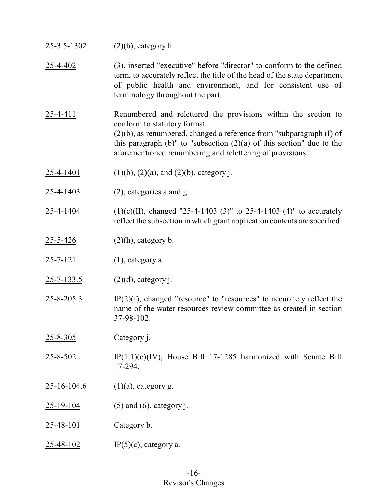| $25 - 3.5 - 1302$ | $(2)(b)$ , category h.                                                                                                                                                                                                                                                                                                 |
|-------------------|------------------------------------------------------------------------------------------------------------------------------------------------------------------------------------------------------------------------------------------------------------------------------------------------------------------------|
| 25-4-402          | (3), inserted "executive" before "director" to conform to the defined<br>term, to accurately reflect the title of the head of the state department<br>of public health and environment, and for consistent use of<br>terminology throughout the part.                                                                  |
| $25 - 4 - 411$    | Renumbered and relettered the provisions within the section to<br>conform to statutory format.<br>$(2)(b)$ , as renumbered, changed a reference from "subparagraph $(I)$ of<br>this paragraph $(b)$ " to "subsection $(2)(a)$ of this section" due to the<br>aforementioned renumbering and relettering of provisions. |
| <u>25-4-1401</u>  | $(1)(b)$ , $(2)(a)$ , and $(2)(b)$ , category j.                                                                                                                                                                                                                                                                       |
| 25-4-1403         | $(2)$ , categories a and g.                                                                                                                                                                                                                                                                                            |
| 25-4-1404         | $(1)(c)(II)$ , changed "25-4-1403 (3)" to 25-4-1403 (4)" to accurately<br>reflect the subsection in which grant application contents are specified.                                                                                                                                                                    |
| <u>25-5-426</u>   | $(2)(h)$ , category b.                                                                                                                                                                                                                                                                                                 |
| $25 - 7 - 121$    | $(1)$ , category a.                                                                                                                                                                                                                                                                                                    |
| $25 - 7 - 133.5$  | $(2)(d)$ , category j.                                                                                                                                                                                                                                                                                                 |
| $25 - 8 - 205.3$  | $IP(2)(f)$ , changed "resource" to "resources" to accurately reflect the<br>name of the water resources review committee as created in section<br>37-98-102.                                                                                                                                                           |
| $25 - 8 - 305$    | Category j.                                                                                                                                                                                                                                                                                                            |
| $25 - 8 - 502$    | $IP(1.1)(c)(IV)$ , House Bill 17-1285 harmonized with Senate Bill<br>17-294.                                                                                                                                                                                                                                           |
| $25 - 16 - 104.6$ | $(1)(a)$ , category g.                                                                                                                                                                                                                                                                                                 |
| <u>25-19-104</u>  | $(5)$ and $(6)$ , category j.                                                                                                                                                                                                                                                                                          |
| <u>25-48-101</u>  | Category b.                                                                                                                                                                                                                                                                                                            |
| <u>25-48-102</u>  | $IP(5)(c)$ , category a.                                                                                                                                                                                                                                                                                               |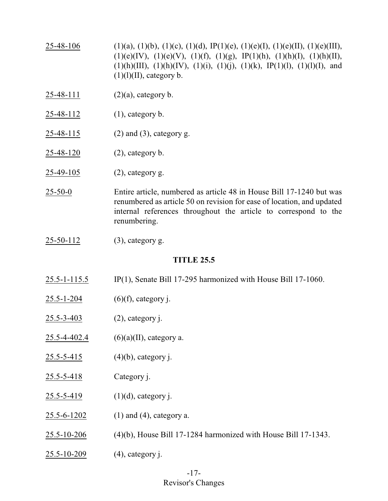- 25-48-106 (1)(a), (1)(b), (1)(c), (1)(d), IP(1)(e), (1)(e)(I), (1)(e)(III), (1)(e)(III),  $(1)(e)(IV), (1)(e)(V), (1)(f), (1)(g), IP(1)(h), (1)(h)(I), (1)(h)(II),$  $(1)(h)(III)$ ,  $(1)(h)(IV)$ ,  $(1)(i)$ ,  $(1)(j)$ ,  $(1)(k)$ ,  $IP(1)(l)$ ,  $(1)(l)(I)$ , and  $(1)(1)(II)$ , category b.
- 25-48-111 (2)(a), category b.
- 25-48-112 (1), category b.
- 25-48-115 (2) and (3), category g.
- 25-48-120 (2), category b.
- $25-49-105$  (2), category g.
- 25-50-0 Entire article, numbered as article 48 in House Bill 17-1240 but was renumbered as article 50 on revision for ease of location, and updated internal references throughout the article to correspond to the renumbering.
- 25-50-112 (3), category g.

### **TITLE 25.5**

- 25.5-1-115.5 IP(1), Senate Bill 17-295 harmonized with House Bill 17-1060.
- $25.5 1 204$  (6)(f), category j.
- 25.5-3-403 (2), category j.
- 25.5-4-402.4  $(6)(a)(II)$ , category a.
- 25.5-5-415 (4)(b), category j.
- 25.5-5-418 Category j.
- $25.5 5 419$  (1)(d), category j.
- 25.5-6-1202 (1) and (4), category a.
- 25.5-10-206 (4)(b), House Bill 17-1284 harmonized with House Bill 17-1343.
- 25.5-10-209 (4), category j.

# -17- Revisor's Changes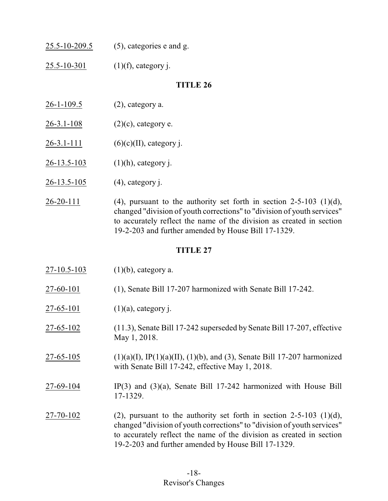| 25.5-10-209.5 | $(5)$ , categories e and g. |
|---------------|-----------------------------|
|               |                             |

25.5-10-301 (1)(f), category j.

# **TITLE 26**

- 26-1-109.5 (2), category a.
- $26-3.1-108$  (2)(c), category e.
- $26-3.1-111$  (6)(c)(II), category j.
- 26-13.5-103 (1)(h), category j.
- 26-13.5-105 (4), category j.
- $26-20-111$  (4), pursuant to the authority set forth in section 2-5-103 (1)(d), changed "division of youth corrections" to "division of youth services" to accurately reflect the name of the division as created in section 19-2-203 and further amended by House Bill 17-1329.

| $27 - 10.5 - 103$ | $(1)(b)$ , category a.                                                                                                                                                                                                                                                          |
|-------------------|---------------------------------------------------------------------------------------------------------------------------------------------------------------------------------------------------------------------------------------------------------------------------------|
| 27-60-101         | (1), Senate Bill 17-207 harmonized with Senate Bill 17-242.                                                                                                                                                                                                                     |
| 27-65-101         | $(1)(a)$ , category j.                                                                                                                                                                                                                                                          |
| 27-65-102         | (11.3), Senate Bill 17-242 superseded by Senate Bill 17-207, effective<br>May 1, 2018.                                                                                                                                                                                          |
| $27 - 65 - 105$   | $(1)(a)(I)$ , IP $(1)(a)(II)$ , $(1)(b)$ , and $(3)$ , Senate Bill 17-207 harmonized<br>with Senate Bill 17-242, effective May 1, 2018.                                                                                                                                         |
| 27-69-104         | $IP(3)$ and $(3)(a)$ , Senate Bill 17-242 harmonized with House Bill<br>17-1329.                                                                                                                                                                                                |
| 27-70-102         | (2), pursuant to the authority set forth in section $2-5-103$ (1)(d),<br>changed "division of youth corrections" to "division of youth services"<br>to accurately reflect the name of the division as created in section<br>19-2-203 and further amended by House Bill 17-1329. |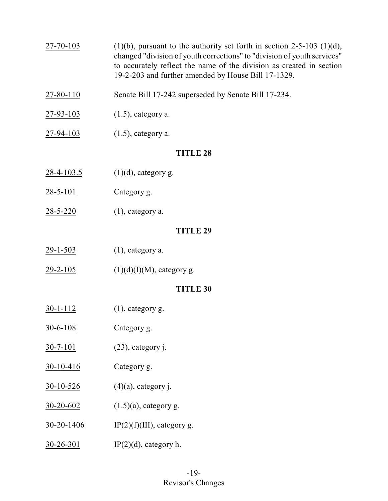- 27-70-103 (1)(b), pursuant to the authority set forth in section 2-5-103 (1)(d), changed "division of youth corrections" to "division of youth services" to accurately reflect the name of the division as created in section 19-2-203 and further amended by House Bill 17-1329.
- 27-80-110 Senate Bill 17-242 superseded by Senate Bill 17-234.
- 27-93-103 (1.5), category a.
- 27-94-103 (1.5), category a.

- $28-4-103.5$  (1)(d), category g.
- 28-5-101 Category g.
- 28-5-220 (1), category a.

# **TITLE 29**

- 29-1-503 (1), category a.
- $29-2-105$  (1)(d)(I)(M), category g.

- $30-1-112$  (1), category g.
- 30-6-108 Category g.
- 30-7-101 (23), category j.
- 30-10-416 Category g.
- 30-10-526 (4)(a), category j.
- 30-20-602 (1.5)(a), category g.
- 30-20-1406 IP(2)(f)(III), category g.
- $30-26-301$  IP(2)(d), category h.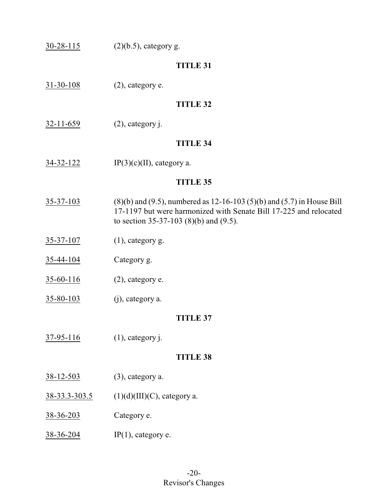| $30 - 28 - 115$  | $(2)(b.5)$ , category g.                                                                                                                                                                       |
|------------------|------------------------------------------------------------------------------------------------------------------------------------------------------------------------------------------------|
|                  | <b>TITLE 31</b>                                                                                                                                                                                |
| $31 - 30 - 108$  | $(2)$ , category e.                                                                                                                                                                            |
|                  | <b>TITLE 32</b>                                                                                                                                                                                |
| $32 - 11 - 659$  | $(2)$ , category j.                                                                                                                                                                            |
|                  | <b>TITLE 34</b>                                                                                                                                                                                |
| $34 - 32 - 122$  | $IP(3)(c)(II)$ , category a.                                                                                                                                                                   |
|                  | <b>TITLE 35</b>                                                                                                                                                                                |
| $35 - 37 - 103$  | $(8)(b)$ and $(9.5)$ , numbered as 12-16-103 $(5)(b)$ and $(5.7)$ in House Bill<br>17-1197 but were harmonized with Senate Bill 17-225 and relocated<br>to section 35-37-103 (8)(b) and (9.5). |
| $35 - 37 - 107$  | $(1)$ , category g.                                                                                                                                                                            |
| <u>35-44-104</u> | Category g.                                                                                                                                                                                    |
| $35 - 60 - 116$  | $(2)$ , category e.                                                                                                                                                                            |
| $35 - 80 - 103$  | (j), category a.                                                                                                                                                                               |
|                  | <b>TITLE 37</b>                                                                                                                                                                                |
| $37 - 95 - 116$  | $(1)$ , category j.                                                                                                                                                                            |
|                  | <b>TITLE 38</b>                                                                                                                                                                                |
| $38 - 12 - 503$  | (3), category a.                                                                                                                                                                               |
| 38-33.3-303.5    | $(1)(d)(III)(C)$ , category a.                                                                                                                                                                 |
| <u>38-36-203</u> | Category e.                                                                                                                                                                                    |
| <u>38-36-204</u> | $IP(1)$ , category e.                                                                                                                                                                          |
|                  |                                                                                                                                                                                                |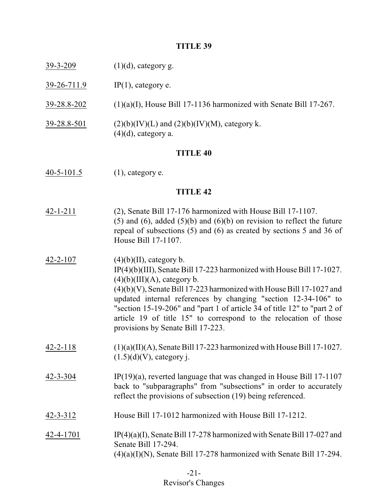- 39-26-711.9 IP(1), category e.
- 39-28.8-202 (1)(a)(I), House Bill 17-1136 harmonized with Senate Bill 17-267.
- $39-28.8-501$  (2)(b)(IV)(L) and (2)(b)(IV)(M), category k.  $(4)(d)$ , category a.

#### **TITLE 40**

40-5-101.5 (1), category e.

#### **TITLE 42**

- 42-1-211 (2), Senate Bill 17-176 harmonized with House Bill 17-1107. (5) and (6), added (5)(b) and (6)(b) on revision to reflect the future repeal of subsections (5) and (6) as created by sections 5 and 36 of House Bill 17-1107.
- 42-2-107 (4)(b)(II), category b. IP(4)(b)(III), Senate Bill 17-223 harmonized with House Bill 17-1027.  $(4)(b)(III)(A)$ , category b. (4)(b)(V), Senate Bill 17-223 harmonized with House Bill 17-1027 and updated internal references by changing "section 12-34-106" to "section 15-19-206" and "part 1 of article 34 of title 12" to "part 2 of article 19 of title 15" to correspond to the relocation of those provisions by Senate Bill 17-223.  $42-2-118$  (1)(a)(II)(A), Senate Bill 17-223 harmonized with House Bill 17-1027.  $(1.5)(d)(V)$ , category j.
- 42-3-304 IP(19)(a), reverted language that was changed in House Bill 17-1107 back to "subparagraphs" from "subsections" in order to accurately reflect the provisions of subsection (19) being referenced.
- 42-3-312 House Bill 17-1012 harmonized with House Bill 17-1212.
- 42-4-1701 IP(4)(a)(I), Senate Bill 17-278 harmonized with Senate Bill 17-027 and Senate Bill 17-294.  $(4)(a)(I)(N)$ , Senate Bill 17-278 harmonized with Senate Bill 17-294.

# -21- Revisor's Changes